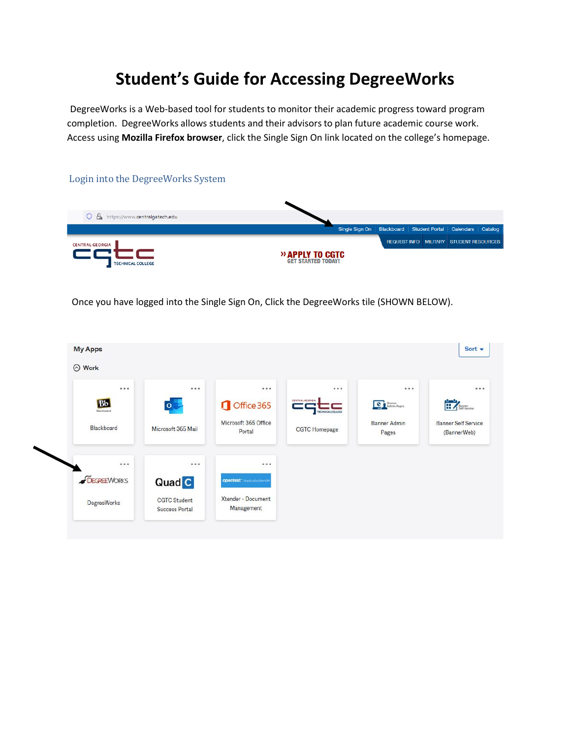# **Student's Guide for Accessing DegreeWorks**

DegreeWorks is a Web-based tool for students to monitor their academic progress toward program completion. DegreeWorks allows students and their advisors to plan future academic course work. Access using **Mozilla Firefox browser**, click the Single Sign On link located on the college's homepage.



Once you have logged into the Single Sign On, Click the DegreeWorks tile (SHOWN BELOW).

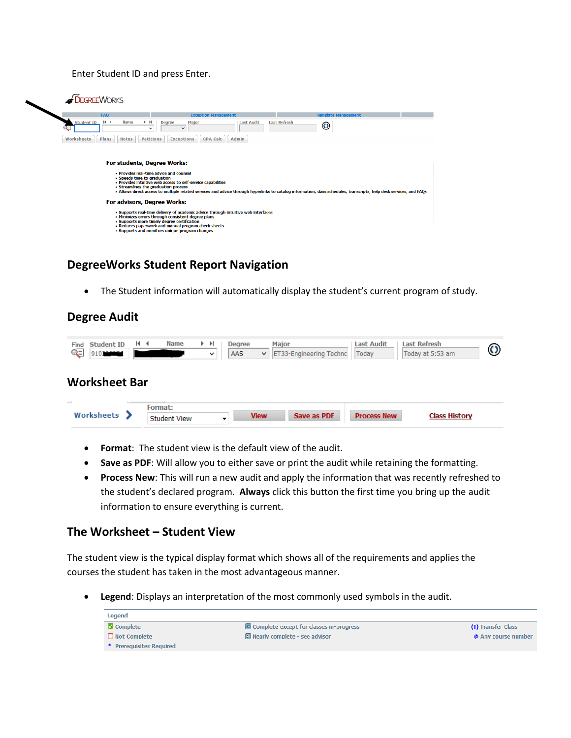Enter Student ID and press Enter.



# **DegreeWorks Student Report Navigation**

• The Student information will automatically display the student's current program of study.

#### **Degree Audit**

| <b>Student ID</b><br>Find<br>QĘI<br>910300000 | $\blacksquare$ | <b>Name</b>         | $\blacktriangleright$ $\blacktriangleright$ $\blacktriangleright$ $\sqtriangleright$<br>$\check{ }$ | <b>Degree</b><br>AAS | <b>Major</b><br>$\checkmark$ | ET33-Engineering Technc | <b>Last Audit</b><br>Today | <b>Last Refresh</b><br>Today at 5:53 am | $\bf O$ |
|-----------------------------------------------|----------------|---------------------|-----------------------------------------------------------------------------------------------------|----------------------|------------------------------|-------------------------|----------------------------|-----------------------------------------|---------|
| <b>Worksheet Bar</b>                          |                |                     |                                                                                                     |                      |                              |                         |                            |                                         |         |
| $\overline{\phantom{a}}$<br>Worksheets >      | Format:        | <b>Student View</b> | ▼                                                                                                   |                      | <b>View</b>                  | Save as PDF             | <b>Process New</b>         | <b>Class History</b>                    |         |

- **Format**: The student view is the default view of the audit.
- **Save as PDF**: Will allow you to either save or print the audit while retaining the formatting.
- **Process New**: This will run a new audit and apply the information that was recently refreshed to the student's declared program. **Always** click this button the first time you bring up the audit information to ensure everything is current.

#### **The Worksheet – Student View**

The student view is the typical display format which shows all of the requirements and applies the courses the student has taken in the most advantageous manner.

• **Legend**: Displays an interpretation of the most commonly used symbols in the audit.

| Legend                   |                                         |                     |
|--------------------------|-----------------------------------------|---------------------|
| <b>Z</b> Complete        | Complete except for classes in-progress | (T) Transfer Class  |
| $\Box$ Not Complete      | $\Xi$ Nearly complete - see advisor     | @ Any course number |
| * Prerequisites Required |                                         |                     |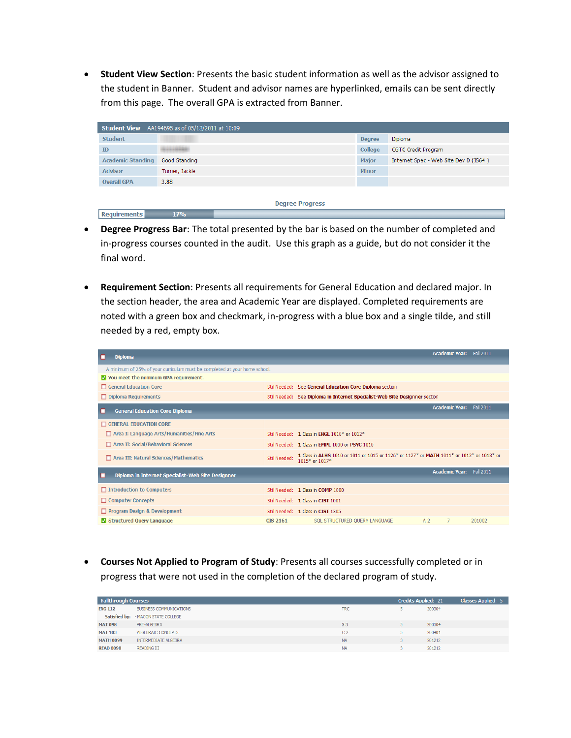• **Student View Section**: Presents the basic student information as well as the advisor assigned to the student in Banner. Student and advisor names are hyperlinked, emails can be sent directly from this page. The overall GPA is extracted from Banner.

| <b>Student View</b> AA194695 as of 05/13/2011 at 10:09 |                        |               |                                       |  |  |  |  |  |  |
|--------------------------------------------------------|------------------------|---------------|---------------------------------------|--|--|--|--|--|--|
| <b>Student</b>                                         |                        | <b>Degree</b> | Diploma                               |  |  |  |  |  |  |
| <b>ID</b>                                              | --------               | College       | <b>CGTC Credit Program</b>            |  |  |  |  |  |  |
| <b>Academic Standing</b>                               | Good Standing          | <b>Major</b>  | Internet Spec - Web Site Dev D (IS64) |  |  |  |  |  |  |
| <b>Advisor</b>                                         | Turner, Jackie         | <b>Minor</b>  |                                       |  |  |  |  |  |  |
| <b>Overall GPA</b>                                     | 3.88                   |               |                                       |  |  |  |  |  |  |
|                                                        |                        |               |                                       |  |  |  |  |  |  |
|                                                        | <b>Degree Progress</b> |               |                                       |  |  |  |  |  |  |
| <b>Requirements</b>                                    | 17%                    |               |                                       |  |  |  |  |  |  |

- **Degree Progress Bar**: The total presented by the bar is based on the number of completed and in-progress courses counted in the audit. Use this graph as a guide, but do not consider it the final word.
- **Requirement Section**: Presents all requirements for General Education and declared major. In the section header, the area and Academic Year are displayed. Completed requirements are noted with a green box and checkmark, in-progress with a blue box and a single tilde, and still needed by a red, empty box.

| <b>Diploma</b>                                                             |                 |                                                                                                             |                | <b>Academic Year:</b>    | <b>Fall 2011</b> |
|----------------------------------------------------------------------------|-----------------|-------------------------------------------------------------------------------------------------------------|----------------|--------------------------|------------------|
| A minimum of 25% of your curriculum must be completed at your home school. |                 |                                                                                                             |                |                          |                  |
| V You meet the minimum GPA requirement.                                    |                 |                                                                                                             |                |                          |                  |
| General Education Core                                                     |                 | Still Needed: See General Education Core Diploma section                                                    |                |                          |                  |
| Diploma Requirements                                                       |                 | Still Needed: See Diploma in Internet Specialist-Web Site Designner section                                 |                |                          |                  |
| <b>General Education Core Diploma</b>                                      |                 |                                                                                                             |                | Academic Year: Fall 2011 |                  |
| <b>GENERAL EDUCATION CORE</b>                                              |                 |                                                                                                             |                |                          |                  |
| Area I: Language Arts/Humanities/Fine Arts                                 |                 | Still Needed: 1 Class in FNGI 1010* or 1012*                                                                |                |                          |                  |
| Area II: Social/Behavioral Sciences                                        |                 | Still Needed: 1 Class in EMPL 1000 or PSYC 1010                                                             |                |                          |                  |
| Area III: Natural Sciences/Mathematics                                     | Still Needed:   | 1 Class in ALHS 1010 or 1011 or 1015 or 1126* or 1127* or MATH 1011* or 1012* or 1013* or<br>1015* or 1017* |                |                          |                  |
| Diploma in Internet Specialist-Web Site Designner                          |                 |                                                                                                             |                | <b>Academic Year:</b>    | Fall 2011        |
| □ Introduction to Computers                                                |                 | Still Needed: 1 Class in COMP 1000                                                                          |                |                          |                  |
| Computer Concepts                                                          |                 | Still Needed: 1 Class in CIST 1001                                                                          |                |                          |                  |
| Program Design & Development                                               |                 | Still Needed: 1 Class in CIST 1305                                                                          |                |                          |                  |
| Structured Query Language                                                  | <b>CIS 2161</b> | SQL STRUCTURED QUERY LANGUAGE                                                                               | A <sub>2</sub> |                          | 201002           |

• **Courses Not Applied to Program of Study**: Presents all courses successfully completed or in progress that were not used in the completion of the declared program of study.

| <b>Fallthrough Courses</b> |                                            | <b>Credits Applied: 21</b> | Classes Applied: 5 |        |
|----------------------------|--------------------------------------------|----------------------------|--------------------|--------|
| <b>ENG 112</b>             | <b>BUSINESS COMMUNICATIONS</b>             | <b>TRC</b>                 |                    | 200304 |
|                            | <b>Satisfied by: - MACON STATE COLLEGE</b> |                            |                    |        |
| <b>MAT 098</b>             | PRE-ALGEBRA                                | S <sub>3</sub>             |                    | 200304 |
| <b>MAT 103</b>             | ALGEBRAIC CONCEPTS                         | C <sub>2</sub>             |                    | 200401 |
| <b>MATH 0099</b>           | INTERMEDIATE ALGEBRA                       | <b>NA</b>                  |                    | 201212 |
| <b>READ 0098</b>           | READING III                                | <b>NA</b>                  |                    | 201212 |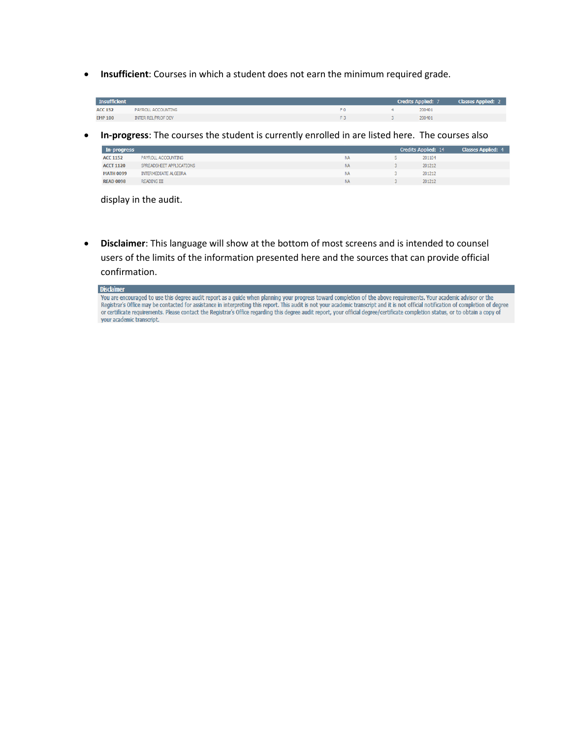• **Insufficient**: Courses in which a student does not earn the minimum required grade.

| <b>Insufficient</b> |                           |     |        | Credits Applied: 7 Classes Applied: 2 |
|---------------------|---------------------------|-----|--------|---------------------------------------|
| <b>ACC 152</b>      | PAYROLL ACCOUNTING        | F0. | 200401 |                                       |
| <b>EMP 100</b>      | <b>INTER REL/PROF DEV</b> |     | 200401 |                                       |

• **In-progress**: The courses the student is currently enrolled in are listed here. The courses also

| In-progress      |                          |           | <b>Credits Applied: 14</b> | <b>Classes Applied: 4</b> |
|------------------|--------------------------|-----------|----------------------------|---------------------------|
| <b>ACC 1152</b>  | PAYROLL ACCOUNTING       | <b>NA</b> | 201104                     |                           |
| <b>ACCT 1120</b> | SPREADSHEET APPLICATIONS | <b>NA</b> | 201212                     |                           |
| <b>MATH 0099</b> | INTERMEDIATE ALGEBRA     | <b>NA</b> | 201212                     |                           |
| <b>READ 0098</b> | <b>READING III</b>       | <b>NA</b> | 201212                     |                           |

display in the audit.

• **Disclaimer**: This language will show at the bottom of most screens and is intended to counsel users of the limits of the information presented here and the sources that can provide official confirmation.

| <b>Disclaimer</b>                                                                                                                                                                      |
|----------------------------------------------------------------------------------------------------------------------------------------------------------------------------------------|
| You are encouraged to use this degree audit report as a guide when planning your progress toward completion of the above requirements. Your academic advisor or the                    |
| Registrar's Office may be contacted for assistance in interpreting this report. This audit is not your academic transcript and it is not official notification of completion of degree |
| or certificate requirements. Please contact the Registrar's Office regarding this degree audit report, your official degree/certificate completion status, or to obtain a copy of      |
| your academic transcript.                                                                                                                                                              |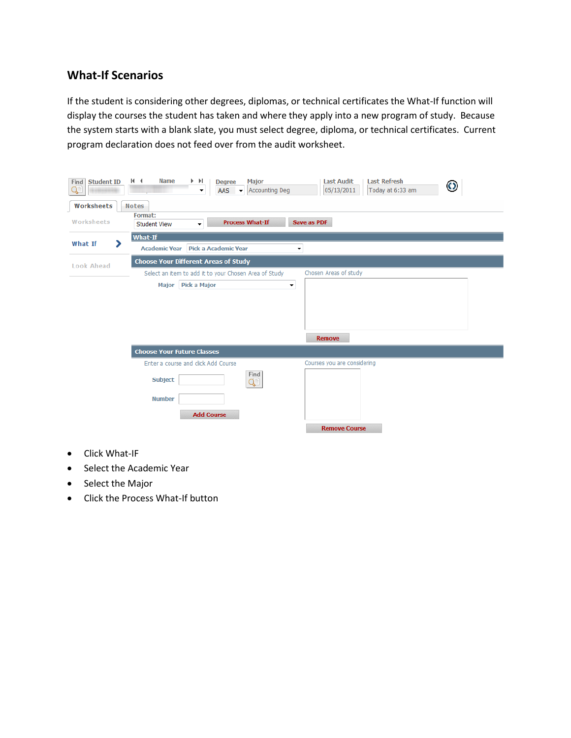### **What-If Scenarios**

If the student is considering other degrees, diplomas, or technical certificates the What-If function will display the courses the student has taken and where they apply into a new program of study. Because the system starts with a blank slate, you must select degree, diploma, or technical certificates. Current program declaration does not feed over from the audit worksheet.

| Find Student ID     | 14.4<br><b>Name</b>                                                  | $\blacktriangleright$<br>Þ.                 | <b>Degree</b>     | <b>Major</b>                                          |                          | <b>Last Audit</b>           | <b>Last Refresh</b> |  |  |  |  |
|---------------------|----------------------------------------------------------------------|---------------------------------------------|-------------------|-------------------------------------------------------|--------------------------|-----------------------------|---------------------|--|--|--|--|
|                     |                                                                      | ▼                                           | AAS               | <b>Accounting Deg</b><br>$\blacktriangledown$         |                          | 05/13/2011                  | Today at 6:33 am    |  |  |  |  |
| Worksheets          | <b>Notes</b>                                                         |                                             |                   |                                                       |                          |                             |                     |  |  |  |  |
| Worksheets          | Format:<br><b>Student View</b>                                       | ۰                                           |                   | <b>Process What-If</b>                                | Save as PDF              |                             |                     |  |  |  |  |
| ⋗<br><b>What If</b> | What-If                                                              |                                             |                   |                                                       |                          |                             |                     |  |  |  |  |
|                     | Pick a Academic Year<br><b>Academic Year</b><br>$\blacktriangledown$ |                                             |                   |                                                       |                          |                             |                     |  |  |  |  |
| <b>Look Ahead</b>   |                                                                      | <b>Choose Your Different Areas of Study</b> |                   |                                                       |                          |                             |                     |  |  |  |  |
|                     |                                                                      |                                             |                   | Select an item to add it to your Chosen Area of Study |                          | Chosen Areas of study       |                     |  |  |  |  |
|                     |                                                                      | Major   Pick a Major                        |                   |                                                       | $\overline{\phantom{a}}$ |                             |                     |  |  |  |  |
|                     |                                                                      |                                             |                   |                                                       |                          |                             |                     |  |  |  |  |
|                     |                                                                      |                                             |                   |                                                       |                          |                             |                     |  |  |  |  |
|                     |                                                                      |                                             |                   |                                                       |                          |                             |                     |  |  |  |  |
|                     |                                                                      |                                             |                   |                                                       |                          | <b>Remove</b>               |                     |  |  |  |  |
|                     | <b>Choose Your Future Classes</b>                                    |                                             |                   |                                                       |                          |                             |                     |  |  |  |  |
|                     | Enter a course and click Add Course                                  |                                             |                   |                                                       |                          | Courses you are considering |                     |  |  |  |  |
|                     | Subject                                                              |                                             |                   | Find<br>Ç                                             |                          |                             |                     |  |  |  |  |
|                     | <b>Number</b>                                                        |                                             |                   |                                                       |                          |                             |                     |  |  |  |  |
|                     |                                                                      |                                             | <b>Add Course</b> |                                                       |                          |                             |                     |  |  |  |  |
|                     |                                                                      |                                             |                   |                                                       |                          | <b>Remove Course</b>        |                     |  |  |  |  |

- Click What-IF
- Select the Academic Year
- Select the Major
- Click the Process What-If button